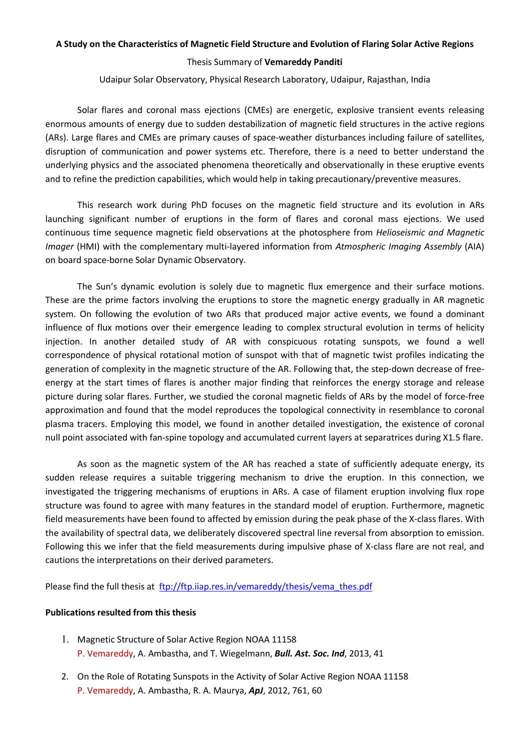## A Study on the Characteristics of Magnetic Field Structure and Evolution of Flaring Solar Active Regions Thesis Summary of Vemareddy Panditi

Udaipur Solar Observatory, Physical Research Laboratory, Udaipur, Rajasthan, India

Solar flares and coronal mass ejections (CMEs) are energetic, explosive transient events releasing enormous amounts of energy due to sudden destabilization of magnetic field structures in the active regions (ARs). Large flares and CMEs are primary causes of space-weather disturbances including failure of satellites, disruption of communication and power systems etc. Therefore, there is a need to better understand the underlying physics and the associated phenomena theoretically and observationally in these eruptive events and to refine the prediction capabilities, which would help in taking precautionary/preventive measures.

This research work during PhD focuses on the magnetic field structure and its evolution in ARs launching significant number of eruptions in the form of flares and coronal mass ejections. We used continuous time sequence magnetic field observations at the photosphere from *Helioseismic and Magnetic Imager* (HMI) with the complementary multi-layered information from *Atmospheric Imaging Assembly* (AIA) on board space-borne Solar Dynamic Observatory.

The Sun's dynamic evolution is solely due to magnetic flux emergence and their surface motions. These are the prime factors involving the eruptions to store the magnetic energy gradually in AR magnetic system. On following the evolution of two ARs that produced major active events, we found a dominant influence of flux motions over their emergence leading to complex structural evolution in terms of helicity injection. In another detailed study of AR with conspicuous rotating sunspots, we found a well correspondence of physical rotational motion of sunspot with that of magnetic twist profiles indicating the generation of complexity in the magnetic structure of the AR. Following that, the step-down decrease of freeenergy at the start times of flares is another major finding that reinforces the energy storage and release picture during solar flares. Further, we studied the coronal magnetic fields of ARs by the model of force-free approximation and found that the model reproduces the topological connectivity in resemblance to coronal plasma tracers. Employing this model, we found in another detailed investigation, the existence of coronal null point associated with fan-spine topology and accumulated current layers at separatrices during X1.5 flare.

As soon as the magnetic system of the AR has reached a state of sufficiently adequate energy, its sudden release requires a suitable triggering mechanism to drive the eruption. In this connection, we investigated the triggering mechanisms of eruptions in ARs. A case of filament eruption involving flux rope structure was found to agree with many features in the standard model of eruption. Furthermore, magnetic field measurements have been found to affected by emission during the peak phase of the X-class flares. With the availability of spectral data, we deliberately discovered spectral line reversal from absorption to emission. Following this we infer that the field measurements during impulsive phase of X-class flare are not real, and cautions the interpretations on their derived parameters.

Please find the full thesis at ftp://ftp.iiap.res.in/vemareddy/thesis/vema\_thes.pdf

## Publications resulted from this thesis

- 1. Magnetic Structure of Solar Active Region NOAA 11158 P. Vemareddy, A. Ambastha, and T. Wiegelmann, *Bull. Ast. Soc. Ind*, 2013, 41
- 2. On the Role of Rotating Sunspots in the Activity of Solar Active Region NOAA 11158 P. Vemareddy, A. Ambastha, R. A. Maurya, *ApJ*, 2012, 761, 60